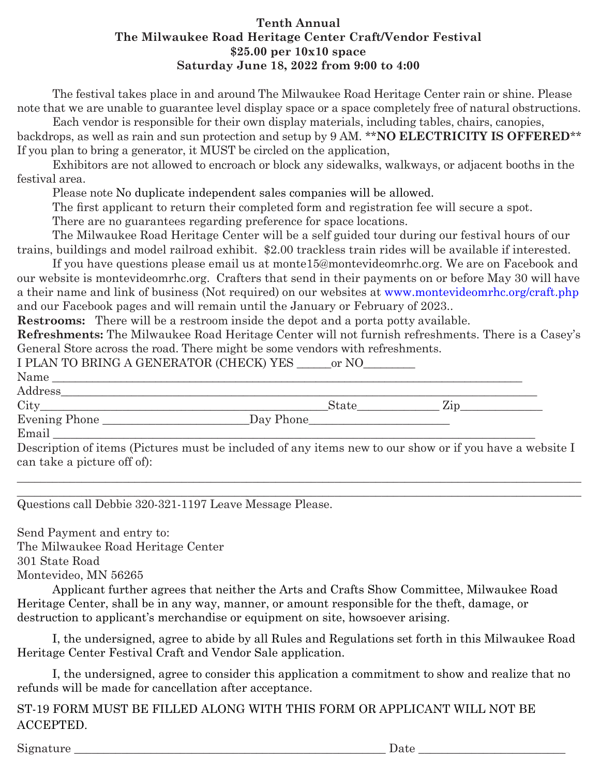## **Tenth Annual The Milwaukee Road Heritage Center Craft/Vendor Festival \$25.00 per 10x10 space Saturday June 18, 2022 from 9:00 to 4:00**

The festival takes place in and around The Milwaukee Road Heritage Center rain or shine. Please note that we are unable to guarantee level display space or a space completely free of natural obstructions.

Each vendor is responsible for their own display materials, including tables, chairs, canopies, backdrops, as well as rain and sun protection and setup by 9 AM. \*\***NO ELECTRICITY IS OFFERED**\*\* If you plan to bring a generator, it MUST be circled on the application,

Exhibitors are not allowed to encroach or block any sidewalks, walkways, or adjacent booths in the festival area.

Please note No duplicate independent sales companies will be allowed.

The first applicant to return their completed form and registration fee will secure a spot.

There are no guarantees regarding preference for space locations.

The Milwaukee Road Heritage Center will be a self guided tour during our festival hours of our trains, buildings and model railroad exhibit. \$2.00 trackless train rides will be available if interested.

If you have questions please email us at monte15@montevideomrhc.org. We are on Facebook and our website is montevideomrhc.org. Crafters that send in their payments on or before May 30 will have a their name and link of business (Not required) on our websites at www.montevideomrhc.org/craft.php and our Facebook pages and will remain until the January or February of 2023..

**Restrooms:** There will be a restroom inside the depot and a porta potty available.

**Refreshments:** The Milwaukee Road Heritage Center will not furnish refreshments. There is a Casey's General Store across the road. There might be some vendors with refreshments.

\_\_\_\_\_\_\_\_\_\_\_\_\_\_\_\_\_\_\_\_\_\_\_\_\_\_\_\_\_\_\_\_\_\_\_\_\_\_\_\_\_\_\_\_\_\_\_\_\_\_\_\_\_\_\_\_\_\_\_\_\_\_\_\_\_\_\_\_\_\_\_\_\_\_\_\_\_\_\_\_\_\_\_\_\_\_\_\_\_\_\_\_\_\_\_\_

| I PLAN TO BRING A GENERATOR (CHECK) YES ______ or NO__________                                                                                                                                                                                                                                                                                                                                                 |  |                                           |  |
|----------------------------------------------------------------------------------------------------------------------------------------------------------------------------------------------------------------------------------------------------------------------------------------------------------------------------------------------------------------------------------------------------------------|--|-------------------------------------------|--|
| Name                                                                                                                                                                                                                                                                                                                                                                                                           |  |                                           |  |
|                                                                                                                                                                                                                                                                                                                                                                                                                |  |                                           |  |
| $City$ $\overline{\qquad \qquad }$ $\qquad \qquad$ $\qquad \qquad$ $\qquad \qquad$ $\qquad \qquad$ $\qquad \qquad$ $\qquad \qquad$ $\qquad \qquad$ $\qquad \qquad$ $\qquad \qquad$ $\qquad \qquad$ $\qquad \qquad$ $\qquad \qquad$ $\qquad \qquad$ $\qquad \qquad$ $\qquad \qquad$ $\qquad \qquad$ $\qquad \qquad$ $\qquad \qquad$ $\qquad \qquad$ $\qquad \qquad$ $\qquad \qquad$ $\qquad \qquad$ $\qquad \q$ |  | $\text{State}$ $\qquad \qquad \text{Zip}$ |  |
|                                                                                                                                                                                                                                                                                                                                                                                                                |  |                                           |  |
|                                                                                                                                                                                                                                                                                                                                                                                                                |  |                                           |  |
| Description of items (Pictures must be included of any items new to our show or if you have a website I                                                                                                                                                                                                                                                                                                        |  |                                           |  |

Questions call Debbie 320-321-1197 Leave Message Please. \_\_\_\_\_\_\_\_\_\_\_\_\_\_\_\_\_\_\_\_\_\_\_\_\_\_\_\_\_\_\_\_\_\_\_\_\_\_\_\_\_\_\_\_\_\_\_\_\_\_\_\_\_\_\_\_\_\_\_\_\_\_\_\_\_\_\_\_\_\_\_\_\_\_\_\_\_\_\_\_\_\_\_\_\_\_\_\_\_\_\_\_\_\_\_\_

Send Payment and entry to: The Milwaukee Road Heritage Center 301 State Road Montevideo, MN 56265

can take a picture off of):

Applicant further agrees that neither the Arts and Crafts Show Committee, Milwaukee Road Heritage Center, shall be in any way, manner, or amount responsible for the theft, damage, or destruction to applicant's merchandise or equipment on site, howsoever arising.

I, the undersigned, agree to abide by all Rules and Regulations set forth in this Milwaukee Road Heritage Center Festival Craft and Vendor Sale application.

I, the undersigned, agree to consider this application a commitment to show and realize that no refunds will be made for cancellation after acceptance.

ST-19 FORM MUST BE FILLED ALONG WITH THIS FORM OR APPLICANT WILL NOT BE ACCEPTED.

Signature \_\_\_\_\_\_\_\_\_\_\_\_\_\_\_\_\_\_\_\_\_\_\_\_\_\_\_\_\_\_\_\_\_\_\_\_\_\_\_\_\_\_\_\_\_\_\_\_\_\_\_\_\_ Date \_\_\_\_\_\_\_\_\_\_\_\_\_\_\_\_\_\_\_\_\_\_\_\_\_